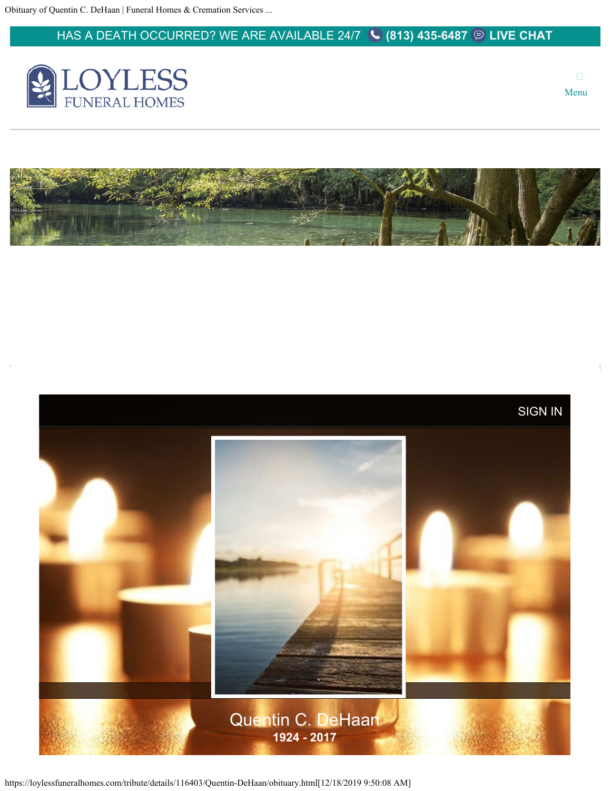### <span id="page-0-0"></span>HAS A DEATH OCCURRED? WE ARE AVAILABLE 24/7 **[\(813\) 435-6487](tel://8139966610/) [LIVE CHAT](https://voice.myasd.com/chat/customerchat/2C51E499-3E45-4743-BD90-118786A4BED9)**



 $\Box$ Menu

 $\bar{1}$ 





https://loylessfuneralhomes.com/tribute/details/116403/Quentin-DeHaan/obituary.html[12/18/2019 9:50:08 AM]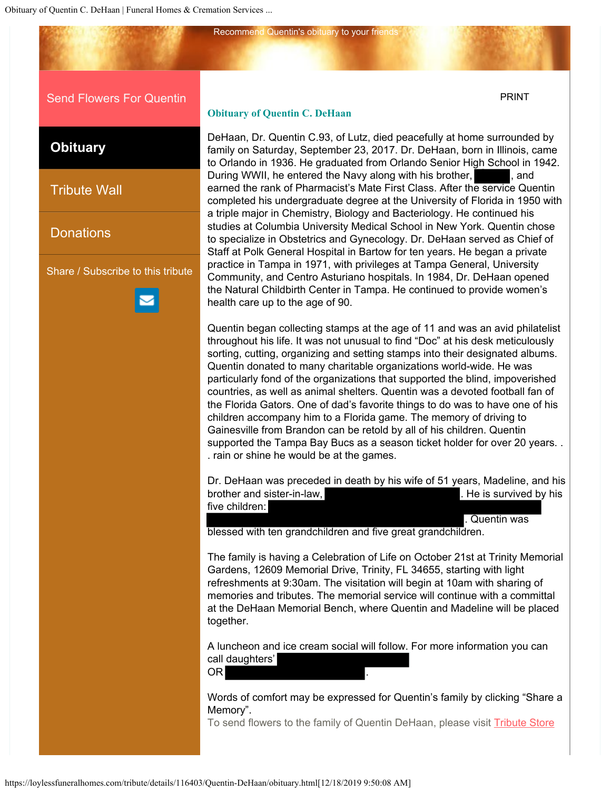[Send Flowers For Quentin](https://loyless-funeral-homes.tributecenterstore.com/?oId=6101259)

**[Obituary](#page-0-0)**

[Tribute Wall](https://loylessfuneralhomes.com/tribute/details/116403/Quentin-DeHaan/condolences.html#content-start)

**[Donations](https://loylessfuneralhomes.com/tribute/details/116403/Quentin-DeHaan/charities.html#content-start)** 

Share / Subscribe to this tribute



#### **Obituary of Quentin C. DeHaan**

Recommend Quentin's obituary to your friends

DeHaan, Dr. Quentin C.93, of Lutz, died peacefully at home surrounded by family on Saturday, September 23, 2017. Dr. DeHaan, born in Illinois, came to Orlando in 1936. He graduated from Orlando Senior High School in 1942. During WWII, he entered the Navy along with his brother, **the same of the UL**, and earned the rank of Pharmacist's Mate First Class. After the service Quentin completed his undergraduate degree at the University of Florida in 1950 with a triple major in Chemistry, Biology and Bacteriology. He continued his studies at Columbia University Medical School in New York. Quentin chose to specialize in Obstetrics and Gynecology. Dr. DeHaan served as Chief of Staff at Polk General Hospital in Bartow for ten years. He began a private practice in Tampa in 1971, with privileges at Tampa General, University Community, and Centro Asturiano hospitals. In 1984, Dr. DeHaan opened the Natural Childbirth Center in Tampa. He continued to provide women's health care up to the age of 90.

Quentin began collecting stamps at the age of 11 and was an avid philatelist throughout his life. It was not unusual to find "Doc" at his desk meticulously sorting, cutting, organizing and setting stamps into their designated albums. Quentin donated to many charitable organizations world-wide. He was particularly fond of the organizations that supported the blind, impoverished countries, as well as animal shelters. Quentin was a devoted football fan of the Florida Gators. One of dad's favorite things to do was to have one of his children accompany him to a Florida game. The memory of driving to Gainesville from Brandon can be retold by all of his children. Quentin supported the Tampa Bay Bucs as a season ticket holder for over 20 years. . . rain or shine he would be at the games.

Dr. DeHaan was preceded in death by his wife of 51 years, Madeline, and his brother and sister-in-law, the is survived by his five children:

. Quentin was

[PRINT](https://loylessfuneralhomes.com/tribute-ajax/print-obituary.html?id=116403) 

blessed with ten grandchildren and five great grandchildren.

The family is having a Celebration of Life on October 21st at Trinity Memorial Gardens, 12609 Memorial Drive, Trinity, FL 34655, starting with light refreshments at 9:30am. The visitation will begin at 10am with sharing of memories and tributes. The memorial service will continue with a committal at the DeHaan Memorial Bench, where Quentin and Madeline will be placed together.

A luncheon and ice cream social will follow. For more information you can call daughters'

OR .

Words of comfort may be expressed for Quentin's family by clicking "Share a Memory".

To send flowers to the family of Quentin DeHaan, please visit [Tribute Store](https://loyless-funeral-homes.tributecenterstore.com/?oId=6101259)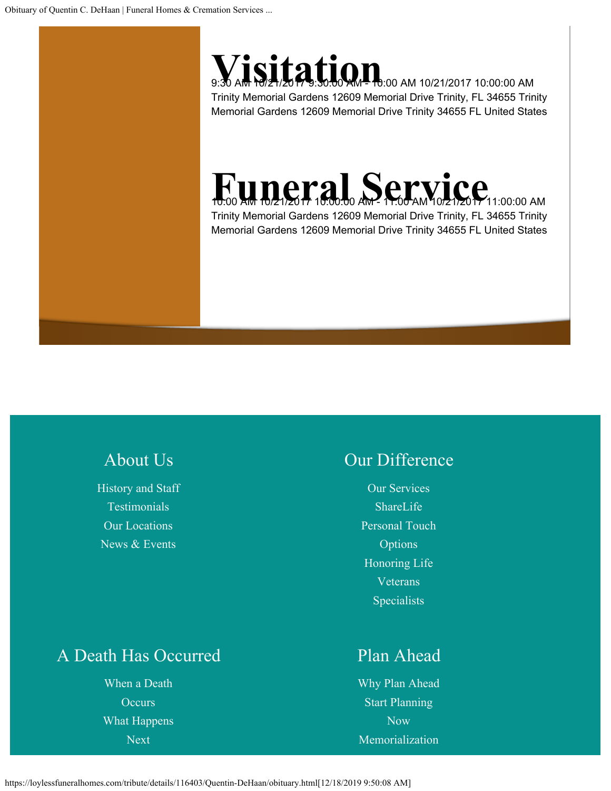# **SILATION** 8:30 AM 10/21/2017 10:00:00 AM

Trinity Memorial Gardens 12609 Memorial Drive Trinity, FL 34655 Trinity Memorial Gardens 12609 Memorial Drive Trinity 34655 FL United States

## **FULLET 3.0.00 AM - 10:00 AM 10/21/2017**11:00:00 AM

Trinity Memorial Gardens 12609 Memorial Drive Trinity, FL 34655 Trinity Memorial Gardens 12609 Memorial Drive Trinity 34655 FL United States

## [About Us](#page-0-0)

[History and Staff](https://loylessfuneralhomes.com/about-us/history-staff/) [Testimonials](https://loylessfuneralhomes.com/about-us/testimonials/) [Our Locations](https://loylessfuneralhomes.com/about-us/our-locations/) [News & Events](https://loylessfuneralhomes.com/about-us/news-events/)

### [Our Difference](#page-0-0)

[Our Services](https://loylessfuneralhomes.com/our-difference/services/) [ShareLife](https://loylessfuneralhomes.com/our-difference/sharelife/) [Personal Touch](https://loylessfuneralhomes.com/our-difference/pto) [Options](https://loylessfuneralhomes.com/our-difference/pto) [Honoring Life](https://loylessfuneralhomes.com/our-difference/honoring-life/) [Veterans](https://loylessfuneralhomes.com/our-difference/veterans-specialists/) [Specialists](https://loylessfuneralhomes.com/our-difference/veterans-specialists/)

## [A Death Has Occurred](#page-0-0)

[When a Death](https://loylessfuneralhomes.com/death-has-occurred/when-death-occurs/) **[Occurs](https://loylessfuneralhomes.com/death-has-occurred/when-death-occurs/)** [What Happens](https://loylessfuneralhomes.com/death-has-occurred/what-happens-next/) [Next](https://loylessfuneralhomes.com/death-has-occurred/what-happens-next/)

### [Plan Ahead](#page-0-0)

[Why Plan Ahead](https://loylessfuneralhomes.com/plan-ahead/why-plan-ahead/) [Start Planning](https://loylessfuneralhomes.com/plan-ahead/plan-now/) [Now](https://loylessfuneralhomes.com/plan-ahead/plan-now/) [Memorialization](https://loylessfuneralhomes.com/plan-ahead/memorialization-services/)

https://loylessfuneralhomes.com/tribute/details/116403/Quentin-DeHaan/obituary.html[12/18/2019 9:50:08 AM]